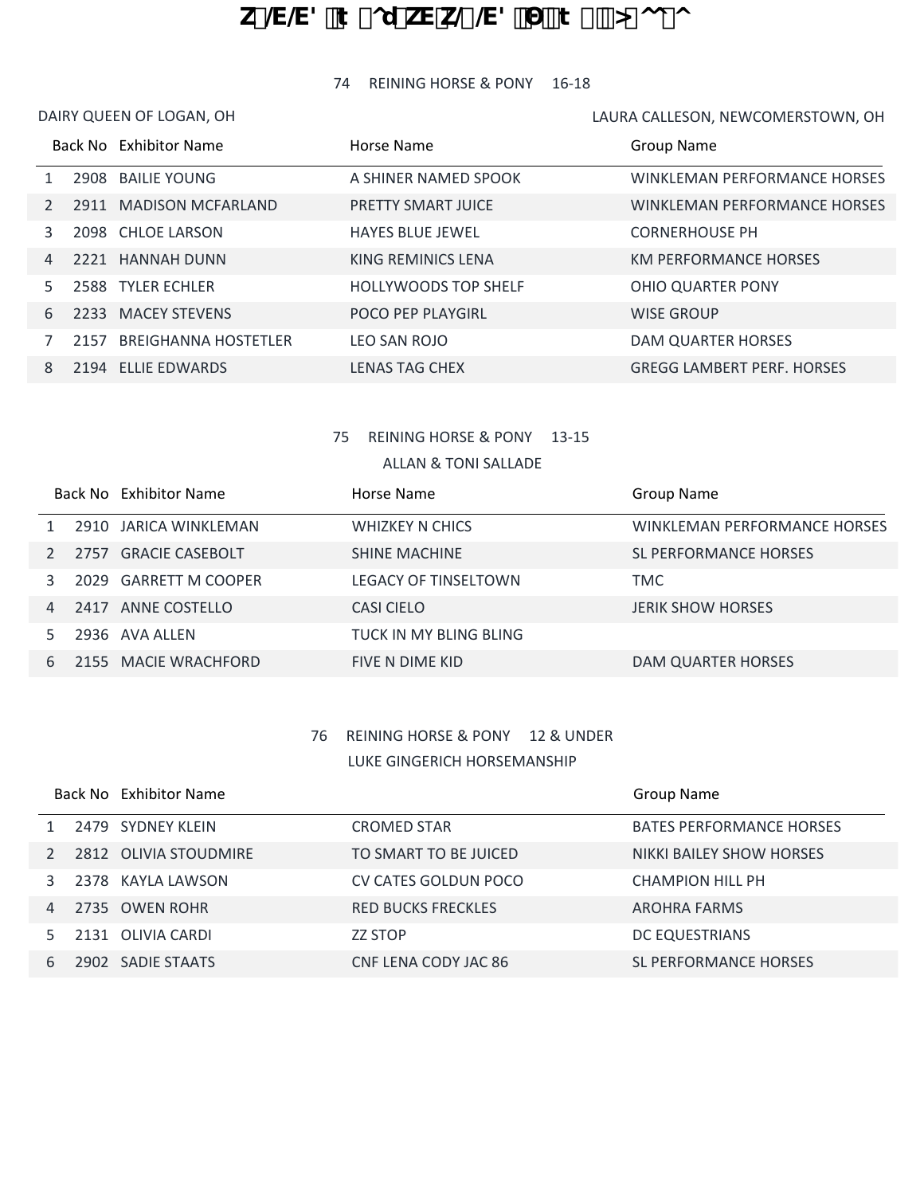# $k$ -@/@/8 ‡ - αι-kV ko @/8" - ‡) # 0 α - ο

REINING HORSE & PONY 16-18

#### DAIRY QUEEN OF LOGAN, OH **LAURA CALLESON, NEWCOMERSTOWN**, OH

|                |      | Back No Exhibitor Name      | Horse Name                  | <b>Group Name</b>                   |
|----------------|------|-----------------------------|-----------------------------|-------------------------------------|
|                |      | 2908 BAILIE YOUNG           | A SHINER NAMED SPOOK        | WINKLEMAN PERFORMANCE HORSES        |
|                | 2911 | <b>MADISON MCFARLAND</b>    | <b>PRETTY SMART JUICE</b>   | <b>WINKLEMAN PERFORMANCE HORSES</b> |
| 3.             |      | 2098 CHLOF LARSON           | <b>HAYES BLUE JEWEL</b>     | <b>CORNERHOUSE PH</b>               |
| $\overline{4}$ |      | 2221 HANNAH DUNN            | KING REMINICS LENA          | <b>KM PERFORMANCE HORSES</b>        |
|                |      | 2588 TYLER ECHLER           | <b>HOLLYWOODS TOP SHELF</b> | OHIO QUARTER PONY                   |
| 6              |      | 2233 MACEY STEVENS          | <b>POCO PEP PLAYGIRL</b>    | <b>WISE GROUP</b>                   |
|                | 2157 | <b>BREIGHANNA HOSTETLER</b> | <b>LEO SAN ROJO</b>         | DAM QUARTER HORSES                  |
| 8              |      | 2194 FLLIF FDWARDS          | LENAS TAG CHEX              | <b>GREGG LAMBERT PERF. HORSES</b>   |

## REINING HORSE & PONY 13-15 ALLAN & TONI SALLADE

|   | Back No Exhibitor Name | Horse Name             | Group Name                          |
|---|------------------------|------------------------|-------------------------------------|
|   | 2910 JARICA WINKLEMAN  | <b>WHIZKEY N CHICS</b> | <b>WINKLEMAN PERFORMANCE HORSES</b> |
|   | 2757 GRACIE CASEBOLT   | <b>SHINE MACHINE</b>   | SL PERFORMANCE HORSES               |
|   | 2029 GARRETT M COOPER  | LEGACY OF TINSELTOWN   | <b>TMC</b>                          |
| 4 | 2417 ANNE COSTELLO     | <b>CASI CIELO</b>      | <b>JERIK SHOW HORSES</b>            |
|   | 2936 AVA ALLEN         | TUCK IN MY BLING BLING |                                     |
| 6 | 2155 MACIE WRACHFORD   | FIVE N DIME KID        | DAM QUARTER HORSES                  |

### REINING HORSE & PONY 12 & UNDER LUKE GINGERICH HORSEMANSHIP

|   | Back No Exhibitor Name |                           | <b>Group Name</b>               |
|---|------------------------|---------------------------|---------------------------------|
|   | 2479 SYDNEY KLEIN      | CROMED STAR               | <b>BATES PERFORMANCE HORSES</b> |
|   | 2812 OLIVIA STOUDMIRE  | TO SMART TO BE JUICED     | NIKKI BAILEY SHOW HORSES        |
|   | 2378 KAYLA LAWSON      | CV CATES GOLDUN POCO      | CHAMPION HILL PH                |
| 4 | 2735 OWEN ROHR         | <b>RED BUCKS FRECKLES</b> | <b>AROHRA FARMS</b>             |
|   | 2131 OLIVIA CARDI      | <b>ZZ STOP</b>            | DC EQUESTRIANS                  |
| 6 | 2902 SADIE STAATS      | CNF LENA CODY JAC 86      | SL PERFORMANCE HORSES           |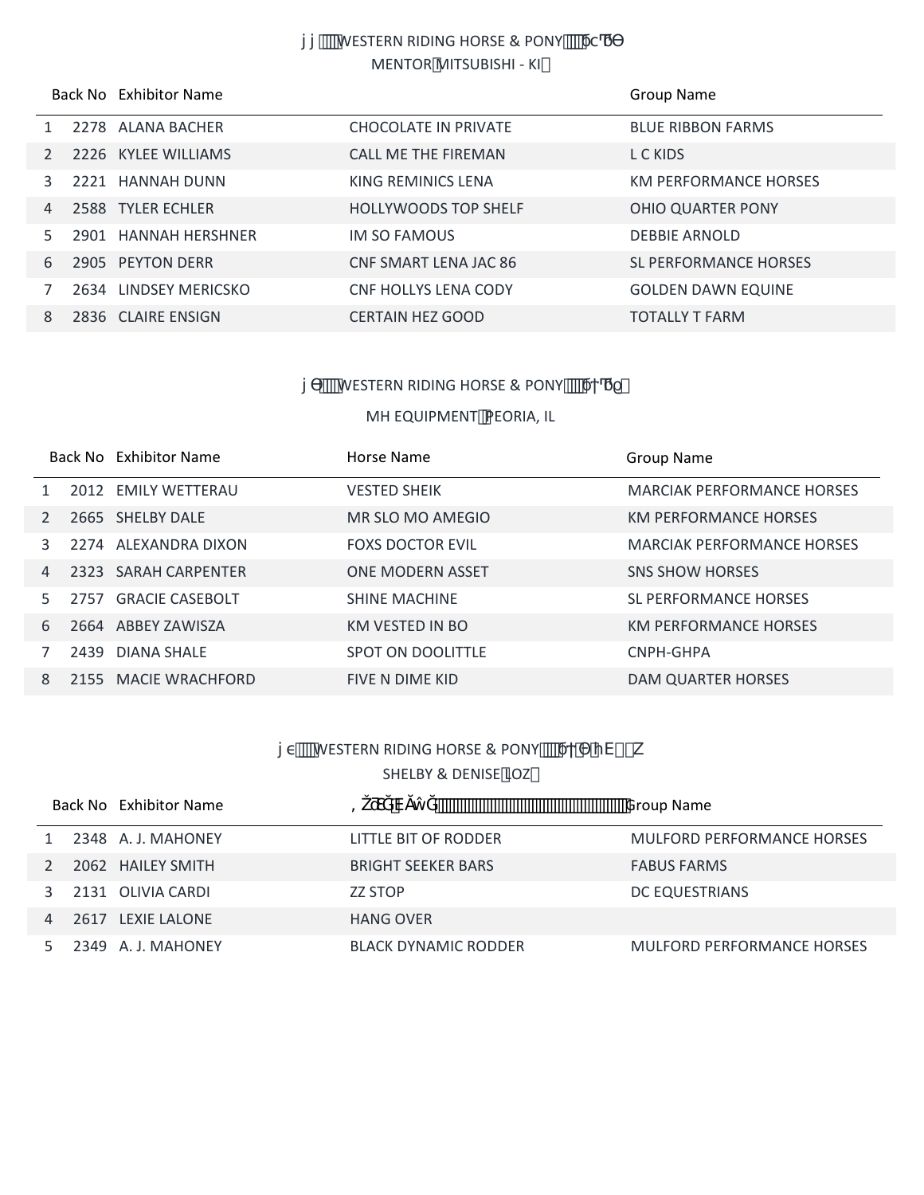### *WESTERN RIDING HORSE & PONY* MENTOR MITSUBISHI - KI'

|                |      | Back No Exhibitor Name  |                              | <b>Group Name</b>            |
|----------------|------|-------------------------|------------------------------|------------------------------|
| 1              |      | 2278 ALANA BACHER       | CHOCOLATE IN PRIVATE         | <b>BLUE RIBBON FARMS</b>     |
| $\overline{2}$ |      | 2226 KYLEE WILLIAMS     | <b>CALL ME THE FIREMAN</b>   | L C KIDS                     |
| $\mathbf{3}$   |      | 2221 HANNAH DUNN        | KING REMINICS LENA           | <b>KM PERFORMANCE HORSES</b> |
| 4              |      | 2588 TYLER ECHLER       | <b>HOLLYWOODS TOP SHELF</b>  | OHIO QUARTER PONY            |
| 5              |      | 2901 HANNAH HERSHNER    | IM SO FAMOUS                 | <b>DEBBIE ARNOLD</b>         |
| 6              |      | 2905 PEYTON DERR        | <b>CNF SMART LENA JAC 86</b> | <b>SL PERFORMANCE HORSES</b> |
| 7              | 2634 | <b>LINDSEY MERICSKO</b> | <b>CNF HOLLYS LENA CODY</b>  | <b>GOLDEN DAWN EQUINE</b>    |
| 8              |      | 2836 CLAIRE ENSIGN      | <b>CERTAIN HEZ GOOD</b>      | <b>TOTALLY T FARM</b>        |

**""WESTERN RIDING HORSE & PONY""** 

MH EQUIPMENT͕PEORIA, IL

|    | Back No Exhibitor Name | Horse Name              | <b>Group Name</b>                 |
|----|------------------------|-------------------------|-----------------------------------|
|    | 2012 EMILY WETTERAU    | <b>VESTED SHEIK</b>     | <b>MARCIAK PERFORMANCE HORSES</b> |
|    | 2665 SHELBY DALE       | MR SLO MO AMEGIO        | <b>KM PERFORMANCE HORSES</b>      |
|    | 2274 ALEXANDRA DIXON   | <b>FOXS DOCTOR EVIL</b> | <b>MARCIAK PERFORMANCE HORSES</b> |
| 4  | 2323 SARAH CARPENTER   | <b>ONE MODERN ASSET</b> | <b>SNS SHOW HORSES</b>            |
| 5. | 2757 GRACIE CASEBOLT   | <b>SHINE MACHINE</b>    | SL PERFORMANCE HORSES             |
| 6  | 2664 ABBEY ZAWISZA     | KM VESTED IN BO         | <b>KM PERFORMANCE HORSES</b>      |
|    | 2439 DIANA SHALF       | SPOT ON DOOLITTLE       | CNPH-GHPA                         |
| 8  | 2155 MACIE WRACHFORD   | FIVE N DIME KID         | DAM QUARTER HORSES                |

**WESTERN RIDING HORSE & PONY** (1) - K SHELBY & DENISE LOZ-

|  | Back No Exhibitor Name | V                           | Group Name                 |
|--|------------------------|-----------------------------|----------------------------|
|  | 2348 A. J. MAHONEY     | LITTLE BIT OF RODDER        | MULFORD PERFORMANCE HORSES |
|  | 2062 HAILEY SMITH      | <b>BRIGHT SEEKER BARS</b>   | <b>FABUS FARMS</b>         |
|  | 2131 OLIVIA CARDI      | <b>ZZ STOP</b>              | DC EQUESTRIANS             |
|  | 2617 LEXIE LALONE      | <b>HANG OVER</b>            |                            |
|  | 2349 A. J. MAHONEY     | <b>BLACK DYNAMIC RODDER</b> | MULFORD PERFORMANCE HORSES |